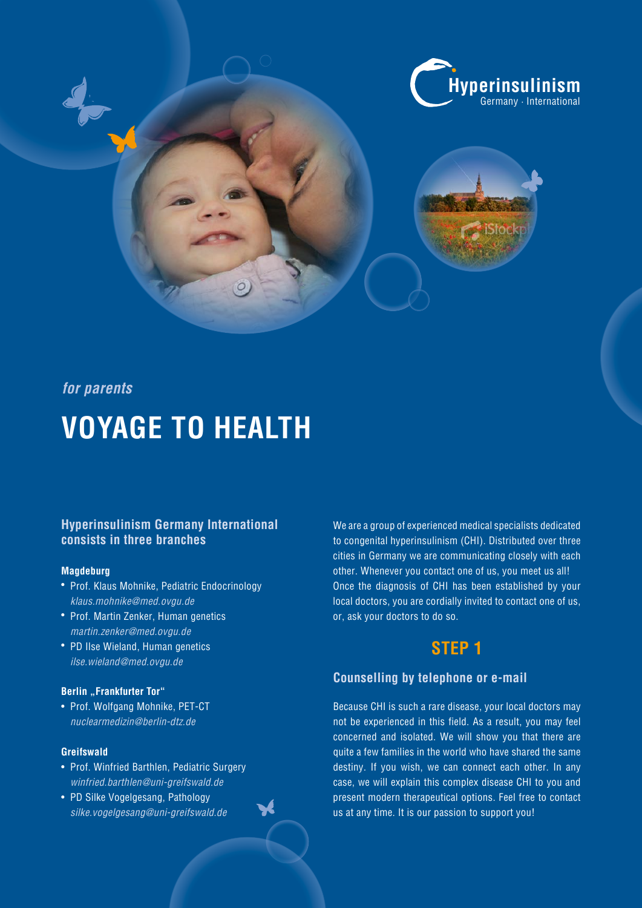

# **for parents**

# **VOYAGE TO HEALTH**

## **Hyperinsulinism Germany International consists in three branches**

#### **Magdeburg**

- Prof. Klaus Mohnike, Pediatric Endocrinology *klaus.mohnike@med.ovgu.de*
- Prof. Martin Zenker, Human genetics *martin.zenker@med.ovgu.de*
- PD Ilse Wieland, Human genetics *ilse.wieland@med.ovgu.de*

### **Berlin** "Frankfurter Tor"

• Prof. Wolfgang Mohnike, PET-CT *nuclearmedizin@berlin-dtz.de*

### **Greifswald**

- Prof. Winfried Barthlen, Pediatric Surgery *winfried.barthlen@uni-greifswald.de*
- PD Silke Vogelgesang, Pathology *silke.vogelgesang@uni-greifswald.de*

We are a group of experienced medical specialists dedicated to congenital hyperinsulinism (CHI). Distributed over three cities in Germany we are communicating closely with each other. Whenever you contact one of us, you meet us all! Once the diagnosis of CHI has been established by your local doctors, you are cordially invited to contact one of us, or, ask your doctors to do so.

# **STEP 1**

## **Counselling by telephone or e-mail**

Because CHI is such a rare disease, your local doctors may not be experienced in this field. As a result, you may feel concerned and isolated. We will show you that there are quite a few families in the world who have shared the same destiny. If you wish, we can connect each other. In any case, we will explain this complex disease CHI to you and present modern therapeutical options. Feel free to contact us at any time. It is our passion to support you!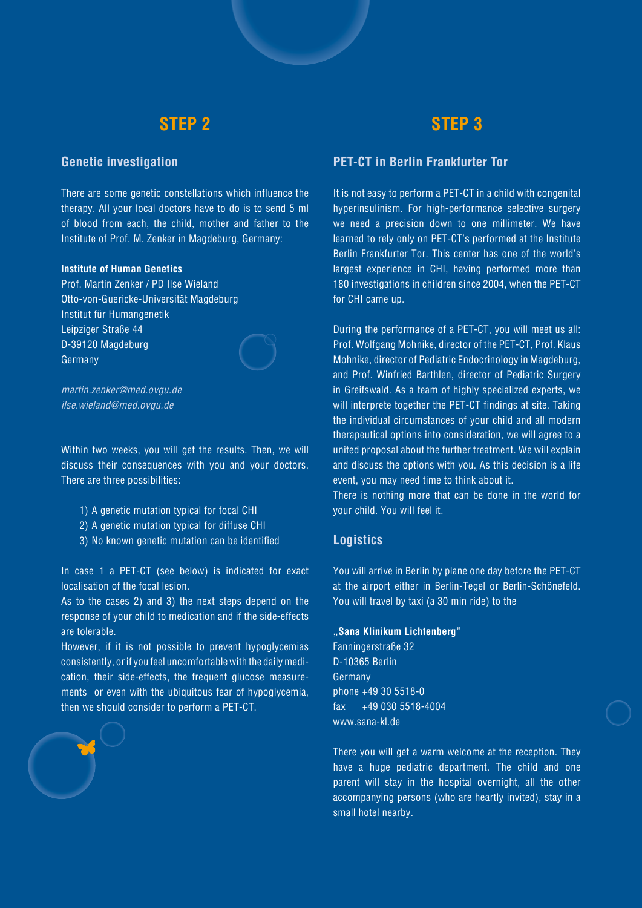# **STEP 2**

# **STEP 3**

# **Genetic investigation**

There are some genetic constellations which influence the therapy. All your local doctors have to do is to send 5 ml of blood from each, the child, mother and father to the Institute of Prof. M. Zenker in Magdeburg, Germany:

#### **Institute of Human Genetics**

Prof. Martin Zenker / PD Ilse Wieland Otto-von-Guericke-Universität Magdeburg Institut für Humangenetik Leipziger Straße 44 D-39120 Magdeburg Germany



*martin.zenker@med.ovgu.de ilse.wieland@med.ovgu.de*

Within two weeks, you will get the results. Then, we will discuss their consequences with you and your doctors. There are three possibilities:

- 1) A genetic mutation typical for focal CHI
- 2) A genetic mutation typical for diffuse CHI
- 3) No known genetic mutation can be identified

In case 1 a PET-CT (see below) is indicated for exact localisation of the focal lesion.

As to the cases 2) and 3) the next steps depend on the response of your child to medication and if the side-effects are tolerable.

However, if it is not possible to prevent hypoglycemias consistently, orif you feel uncomfortablewith the daily medication, their side-effects, the frequent glucose measurements or even with the ubiquitous fear of hypoglycemia, then we should consider to perform a PET-CT.

# **PET-CT in Berlin Frankfurter Tor**

It is not easy to perform a PET-CT in a child with congenital hyperinsulinism. For high-performance selective surgery we need a precision down to one millimeter. We have learned to rely only on PET-CT's performed at the Institute Berlin Frankfurter Tor. This center has one of the world's largest experience in CHI, having performed more than 180 investigations in children since 2004, when the PET-CT for CHI came up.

During the performance of a PET-CT, you will meet us all: Prof. Wolfgang Mohnike, director of the PET-CT, Prof. Klaus Mohnike, director of Pediatric Endocrinology in Magdeburg, and Prof. Winfried Barthlen, director of Pediatric Surgery in Greifswald. As a team of highly specialized experts, we will interprete together the PET-CT findings at site. Taking the individual circumstances of your child and all modern therapeutical options into consideration, we will agree to a united proposal about the further treatment. We will explain and discuss the options with you. As this decision is a life event, you may need time to think about it.

There is nothing more that can be done in the world for your child. You will feel it.

### **Logistics**

You will arrive in Berlin by plane one day before the PET-CT at the airport either in Berlin-Tegel or Berlin-Schönefeld. You will travel by taxi (a 30 min ride) to the

#### **"Sana Klinikum Lichtenberg"**

Fanningerstraße 32 D-10365 Berlin Germany  $p$ hone  $+49$  30 5518-0 fax +49 030 5518-4004 www.sana-kl.de

There you will get a warm welcome at the reception. They have a huge pediatric department. The child and one parent will stay in the hospital overnight, all the other accompanying persons (who are heartly invited), stay in a small hotel nearby.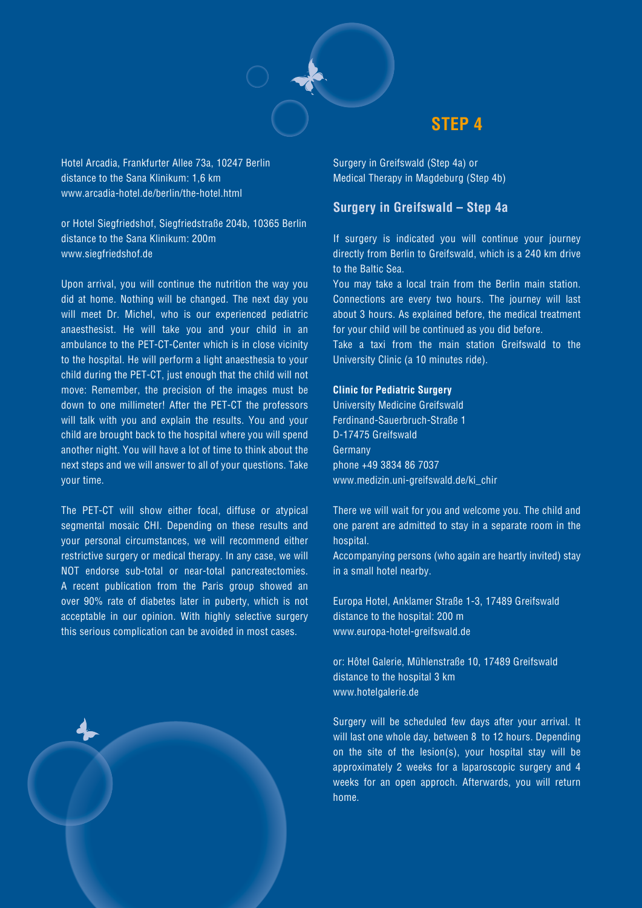

# **STEP 4**

Hotel Arcadia, Frankfurter Allee 73a, 10247 Berlin distance to the Sana Klinikum: 1,6 km www.arcadia-hotel.de/berlin/the-hotel.html

or Hotel Siegfriedshof, Siegfriedstraße 204b, 10365 Berlin distance to the Sana Klinikum: 200m www.siegfriedshof.de

Upon arrival, you will continue the nutrition the way you did at home. Nothing will be changed. The next day you will meet Dr. Michel, who is our experienced pediatric anaesthesist. He will take you and your child in an ambulance to the PET-CT-Center which is in close vicinity to the hospital. He will perform a light anaesthesia to your child during the PET-CT, just enough that the child will not move: Remember, the precision of the images must be down to one millimeter! After the PET-CT the professors will talk with you and explain the results. You and your child are brought back to the hospital where you will spend another night. You will have a lot of time to think about the next steps and we will answer to all of your questions. Take your time.

The PET-CT will show either focal, diffuse or atypical segmental mosaic CHI. Depending on these results and your personal circumstances, we will recommend either restrictive surgery or medical therapy. In any case, we will NOT endorse sub-total or near-total pancreatectomies. A recent publication from the Paris group showed an over 90% rate of diabetes later in puberty, which is not acceptable in our opinion. With highly selective surgery this serious complication can be avoided in most cases.

Surgery in Greifswald (Step 4a) or Medical Therapy in Magdeburg (Step 4b)

## **Surgery in Greifswald – Step 4a**

If surgery is indicated you will continue your journey directly from Berlin to Greifswald, which is a 240 km drive to the Baltic Sea.

You may take a local train from the Berlin main station. Connections are every two hours. The journey will last about 3 hours. As explained before, the medical treatment for your child will be continued as you did before.

Take a taxi from the main station Greifswald to the University Clinic (a 10 minutes ride).

#### **Clinic for Pediatric Surgery**

University Medicine Greifswald Ferdinand-Sauerbruch-Straße 1 D-17475 Greifswald Germany phone +49 3834 86 7037 www.medizin.uni-greifswald.de/ki\_chir

There we will wait for you and welcome you. The child and one parent are admitted to stay in a separate room in the hospital.

Accompanying persons (who again are heartly invited) stay in a small hotel nearby.

Europa Hotel, Anklamer Straße 1-3, 17489 Greifswald distance to the hospital: 200 m www.europa-hotel-greifswald.de

or: Hôtel Galerie, Mühlenstraße 10, 17489 Greifswald distance to the hospital 3 km www.hotelgalerie.de

Surgery will be scheduled few days after your arrival. It will last one whole day, between 8 to 12 hours. Depending on the site of the lesion(s), your hospital stay will be approximately 2 weeks for a laparoscopic surgery and 4 weeks for an open approch. Afterwards, you will return home.